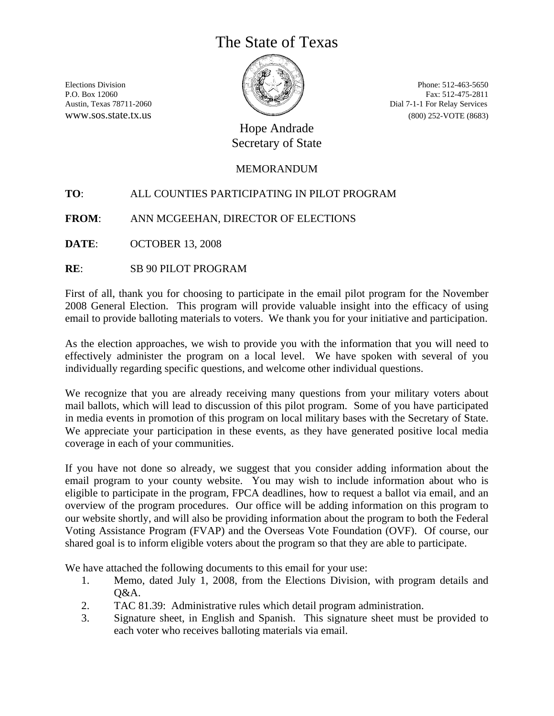# The State of Texas

Elections Division P.O. Box 12060 Austin, Texas 78711-2060 www.sos.state.tx.us

Phone: 512-463-5650 Fax: 512-475-2811 Dial 7-1-1 For Relay Services (800) 252-VOTE (8683)

Hope Andrade Secretary of State

## MEMORANDUM

## **TO**: ALL COUNTIES PARTICIPATING IN PILOT PROGRAM

**FROM**: ANN MCGEEHAN, DIRECTOR OF ELECTIONS

**DATE**: OCTOBER 13, 2008

**RE**: SB 90 PILOT PROGRAM

First of all, thank you for choosing to participate in the email pilot program for the November 2008 General Election. This program will provide valuable insight into the efficacy of using email to provide balloting materials to voters. We thank you for your initiative and participation.

As the election approaches, we wish to provide you with the information that you will need to effectively administer the program on a local level. We have spoken with several of you individually regarding specific questions, and welcome other individual questions.

We recognize that you are already receiving many questions from your military voters about mail ballots, which will lead to discussion of this pilot program. Some of you have participated in media events in promotion of this program on local military bases with the Secretary of State. We appreciate your participation in these events, as they have generated positive local media coverage in each of your communities.

If you have not done so already, we suggest that you consider adding information about the email program to your county website. You may wish to include information about who is eligible to participate in the program, FPCA deadlines, how to request a ballot via email, and an overview of the program procedures. Our office will be adding information on this program to our website shortly, and will also be providing information about the program to both the Federal Voting Assistance Program (FVAP) and the Overseas Vote Foundation (OVF). Of course, our shared goal is to inform eligible voters about the program so that they are able to participate.

We have attached the following documents to this email for your use:

- 1. Memo, dated July 1, 2008, from the Elections Division, with program details and  $O&A$ .
- 2. TAC 81.39: Administrative rules which detail program administration.
- 3. Signature sheet, in English and Spanish. This signature sheet must be provided to each voter who receives balloting materials via email.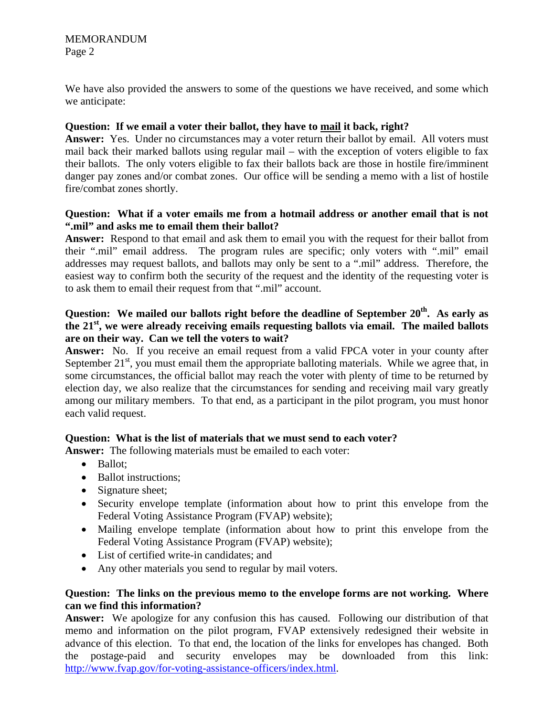## MEMORANDUM Page 2

We have also provided the answers to some of the questions we have received, and some which we anticipate:

## **Question: If we email a voter their ballot, they have to mail it back, right?**

**Answer:** Yes. Under no circumstances may a voter return their ballot by email. All voters must mail back their marked ballots using regular mail – with the exception of voters eligible to fax their ballots. The only voters eligible to fax their ballots back are those in hostile fire/imminent danger pay zones and/or combat zones. Our office will be sending a memo with a list of hostile fire/combat zones shortly.

## **Question: What if a voter emails me from a hotmail address or another email that is not ".mil" and asks me to email them their ballot?**

**Answer:** Respond to that email and ask them to email you with the request for their ballot from their ".mil" email address. The program rules are specific; only voters with ".mil" email addresses may request ballots, and ballots may only be sent to a ".mil" address. Therefore, the easiest way to confirm both the security of the request and the identity of the requesting voter is to ask them to email their request from that ".mil" account.

# Question: We mailed our ballots right before the deadline of September 20<sup>th</sup>. As early as **the 21st, we were already receiving emails requesting ballots via email. The mailed ballots are on their way. Can we tell the voters to wait?**

**Answer:** No. If you receive an email request from a valid FPCA voter in your county after September  $21<sup>st</sup>$ , you must email them the appropriate balloting materials. While we agree that, in some circumstances, the official ballot may reach the voter with plenty of time to be returned by election day, we also realize that the circumstances for sending and receiving mail vary greatly among our military members. To that end, as a participant in the pilot program, you must honor each valid request.

## **Question: What is the list of materials that we must send to each voter?**

**Answer:** The following materials must be emailed to each voter:

- Ballot:
- Ballot instructions:
- Signature sheet;
- Security envelope template (information about how to print this envelope from the Federal Voting Assistance Program (FVAP) website);
- Mailing envelope template (information about how to print this envelope from the Federal Voting Assistance Program (FVAP) website);
- List of certified write-in candidates; and
- Any other materials you send to regular by mail voters.

## **Question: The links on the previous memo to the envelope forms are not working. Where can we find this information?**

**Answer:** We apologize for any confusion this has caused. Following our distribution of that memo and information on the pilot program, FVAP extensively redesigned their website in advance of this election. To that end, the location of the links for envelopes has changed. Both the postage-paid and security envelopes may be downloaded from this link: http://www.fvap.gov/for-voting-assistance-officers/index.html.